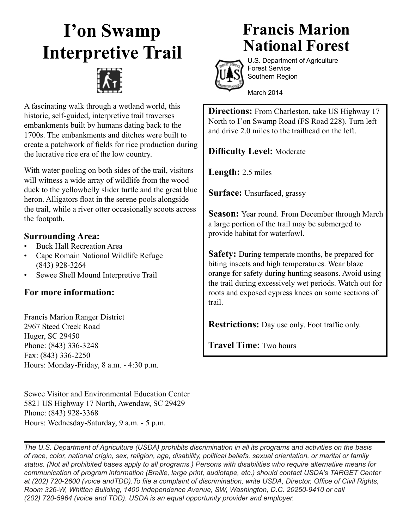## **I'on Swamp Interpretive Trail**



A fascinating walk through a wetland world, this historic, self-guided, interpretive trail traverses embankments built by humans dating back to the 1700s. The embankments and ditches were built to create a patchwork of fields for rice production during the lucrative rice era of the low country.

With water pooling on both sides of the trail, visitors will witness a wide array of wildlife from the wood duck to the yellowbelly slider turtle and the great blue heron. Alligators float in the serene pools alongside the trail, while a river otter occasionally scoots across the footpath.

## **Surrounding Area:**

- Buck Hall Recreation Area
- Cape Romain National Wildlife Refuge (843) 928-3264
- Sewee Shell Mound Interpretive Trail

## **For more information:**

Francis Marion Ranger District 2967 Steed Creek Road Huger, SC 29450 Phone: (843) 336-3248 Fax: (843) 336-2250 Hours: Monday-Friday, 8 a.m. - 4:30 p.m.

Sewee Visitor and Environmental Education Center 5821 US Highway 17 North, Awendaw, SC 29429 Phone: (843) 928-3368 Hours: Wednesday-Saturday, 9 a.m. - 5 p.m.

## **Francis Marion National Forest**



U.S. Department of Agriculture Forest Service Southern Region

March 2014

**Directions:** From Charleston, take US Highway 17 North to I'on Swamp Road (FS Road 228). Turn left and drive 2.0 miles to the trailhead on the left.

**Difficulty Level:** Moderate

**Length:** 2.5 miles

**Surface:** Unsurfaced, grassy

**Season:** Year round. From December through March a large portion of the trail may be submerged to provide habitat for waterfowl.

**Safety:** During temperate months, be prepared for biting insects and high temperatures. Wear blaze orange for safety during hunting seasons. Avoid using the trail during excessively wet periods. Watch out for roots and exposed cypress knees on some sections of trail.

**Restrictions:** Day use only. Foot traffic only.

**Travel Time:** Two hours

*The U.S. Department of Agriculture (USDA) prohibits discrimination in all its programs and activities on the basis of race, color, national origin, sex, religion, age, disability, political beliefs, sexual orientation, or marital or family status. (Not all prohibited bases apply to all programs.) Persons with disabilities who require alternative means for communication of program information (Braille, large print, audiotape, etc.) should contact USDA's TARGET Center at (202) 720-2600 (voice andTDD).To file a complaint of discrimination, write USDA, Director, Office of Civil Rights, Room 326-W, Whitten Building, 1400 Independence Avenue, SW, Washington, D.C. 20250-9410 or call (202) 720-5964 (voice and TDD). USDA is an equal opportunity provider and employer.*

j